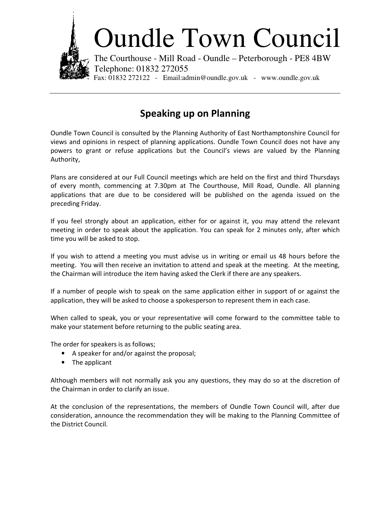

## Oundle Town Council

The Courthouse - Mill Road - Oundle – Peterborough - PE8 4BW Telephone: 01832 272055 Fax: 01832 272122 - Email:admin@oundle.gov.uk - www.oundle.gov.uk

## Speaking up on Planning

Oundle Town Council is consulted by the Planning Authority of East Northamptonshire Council for views and opinions in respect of planning applications. Oundle Town Council does not have any powers to grant or refuse applications but the Council's views are valued by the Planning Authority,

Plans are considered at our Full Council meetings which are held on the first and third Thursdays of every month, commencing at 7.30pm at The Courthouse, Mill Road, Oundle. All planning applications that are due to be considered will be published on the agenda issued on the preceding Friday.

If you feel strongly about an application, either for or against it, you may attend the relevant meeting in order to speak about the application. You can speak for 2 minutes only, after which time you will be asked to stop.

If you wish to attend a meeting you must advise us in writing or email us 48 hours before the meeting. You will then receive an invitation to attend and speak at the meeting. At the meeting, the Chairman will introduce the item having asked the Clerk if there are any speakers.

If a number of people wish to speak on the same application either in support of or against the application, they will be asked to choose a spokesperson to represent them in each case.

When called to speak, you or your representative will come forward to the committee table to make your statement before returning to the public seating area.

The order for speakers is as follows;

- A speaker for and/or against the proposal;
- The applicant

Although members will not normally ask you any questions, they may do so at the discretion of the Chairman in order to clarify an issue.

At the conclusion of the representations, the members of Oundle Town Council will, after due consideration, announce the recommendation they will be making to the Planning Committee of the District Council.